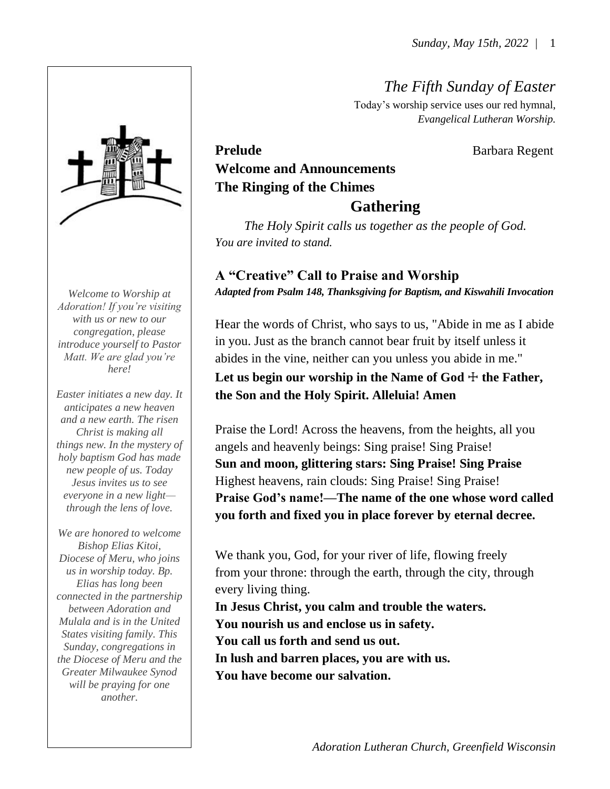*The Fifth Sunday of Easter*

Today's worship service uses our red hymnal, *Evangelical Lutheran Worship.*

# Prelude **Barbara Regent Welcome and Announcements The Ringing of the Chimes Gathering**

*The Holy Spirit calls us together as the people of God. You are invited to stand.*

# **A "Creative" Call to Praise and Worship**

*Adapted from Psalm 148, Thanksgiving for Baptism, and Kiswahili Invocation*

Hear the words of Christ, who says to us, "Abide in me as I abide in you. Just as the branch cannot bear fruit by itself unless it abides in the vine, neither can you unless you abide in me." Let us begin our worship in the Name of  $God + the Father$ , **the Son and the Holy Spirit. Alleluia! Amen**

Praise the Lord! Across the heavens, from the heights, all you angels and heavenly beings: Sing praise! Sing Praise! **Sun and moon, glittering stars: Sing Praise! Sing Praise** Highest heavens, rain clouds: Sing Praise! Sing Praise! **Praise God's name!—The name of the one whose word called you forth and fixed you in place forever by eternal decree.**

We thank you, God, for your river of life, flowing freely from your throne: through the earth, through the city, through every living thing.

**In Jesus Christ, you calm and trouble the waters. You nourish us and enclose us in safety. You call us forth and send us out. In lush and barren places, you are with us. You have become our salvation.**

*Welcome to Worship at Adoration! If you're visiting with us or new to our congregation, please introduce yourself to Pastor Matt. We are glad you're here!*

*Easter initiates a new day. It anticipates a new heaven and a new earth. The risen Christ is making all things new. In the mystery of holy baptism God has made new people of us. Today Jesus invites us to see everyone in a new light through the lens of love.* 

*We are honored to welcome Bishop Elias Kitoi, Diocese of Meru, who joins us in worship today. Bp. Elias has long been connected in the partnership between Adoration and Mulala and is in the United States visiting family. This Sunday, congregations in the Diocese of Meru and the Greater Milwaukee Synod will be praying for one another.*

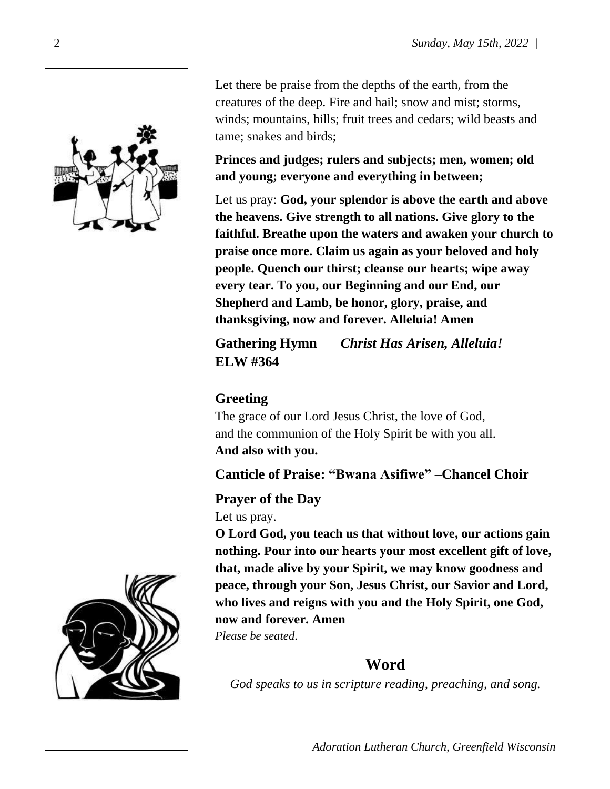

Let there be praise from the depths of the earth, from the creatures of the deep. Fire and hail; snow and mist; storms, winds; mountains, hills; fruit trees and cedars; wild beasts and tame; snakes and birds;

**Princes and judges; rulers and subjects; men, women; old and young; everyone and everything in between;**

Let us pray: **God, your splendor is above the earth and above the heavens. Give strength to all nations. Give glory to the faithful. Breathe upon the waters and awaken your church to praise once more. Claim us again as your beloved and holy people. Quench our thirst; cleanse our hearts; wipe away every tear. To you, our Beginning and our End, our Shepherd and Lamb, be honor, glory, praise, and thanksgiving, now and forever. Alleluia! Amen**

**Gathering Hymn** *Christ Has Arisen, Alleluia!* **ELW #364** 

# **Greeting**

The grace of our Lord Jesus Christ, the love of God, and the communion of the Holy Spirit be with you all. **And also with you.**

**Canticle of Praise: "Bwana Asifiwe" –Chancel Choir**

### **Prayer of the Day**

Let us pray.

**O Lord God, you teach us that without love, our actions gain nothing. Pour into our hearts your most excellent gift of love, that, made alive by your Spirit, we may know goodness and peace, through your Son, Jesus Christ, our Savior and Lord, who lives and reigns with you and the Holy Spirit, one God, now and forever. Amen** *Please be seated*.

# **Word**

*God speaks to us in scripture reading, preaching, and song.*



2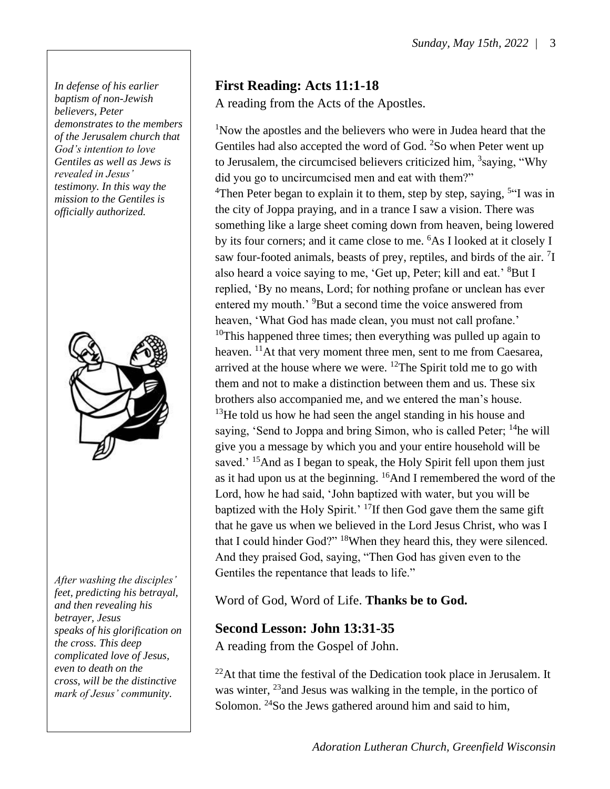*In defense of his earlier baptism of non-Jewish believers, Peter demonstrates to the members of the Jerusalem church that God's intention to love Gentiles as well as Jews is revealed in Jesus' testimony. In this way the mission to the Gentiles is officially authorized.*



*After washing the disciples' feet, predicting his betrayal, and then revealing his betrayer, Jesus speaks of his glorification on the cross. This deep complicated love of Jesus, even to death on the cross, will be the distinctive mark of Jesus' community.*

# **First Reading: Acts 11:1-18**

A reading from the Acts of the Apostles.

<sup>1</sup>Now the apostles and the believers who were in Judea heard that the Gentiles had also accepted the word of God. <sup>2</sup>So when Peter went up to Jerusalem, the circumcised believers criticized him, <sup>3</sup>saying, "Why did you go to uncircumcised men and eat with them?" <sup>4</sup>Then Peter began to explain it to them, step by step, saying, <sup>5"</sup>I was in the city of Joppa praying, and in a trance I saw a vision. There was something like a large sheet coming down from heaven, being lowered by its four corners; and it came close to me. <sup>6</sup>As I looked at it closely I saw four-footed animals, beasts of prey, reptiles, and birds of the air. <sup>7</sup>I also heard a voice saying to me, 'Get up, Peter; kill and eat.' <sup>8</sup>But I replied, 'By no means, Lord; for nothing profane or unclean has ever entered my mouth.' <sup>9</sup>But a second time the voice answered from heaven, 'What God has made clean, you must not call profane.'  $10$ This happened three times; then everything was pulled up again to heaven. <sup>11</sup>At that very moment three men, sent to me from Caesarea, arrived at the house where we were.  $^{12}$ The Spirit told me to go with them and not to make a distinction between them and us. These six brothers also accompanied me, and we entered the man's house.  $13$ He told us how he had seen the angel standing in his house and saying, 'Send to Joppa and bring Simon, who is called Peter; <sup>14</sup>he will give you a message by which you and your entire household will be saved.<sup>' 15</sup>And as I began to speak, the Holy Spirit fell upon them just as it had upon us at the beginning.  $^{16}$ And I remembered the word of the Lord, how he had said, 'John baptized with water, but you will be baptized with the Holy Spirit.' <sup>17</sup>If then God gave them the same gift that he gave us when we believed in the Lord Jesus Christ, who was I that I could hinder God?" <sup>18</sup>When they heard this, they were silenced. And they praised God, saying, "Then God has given even to the Gentiles the repentance that leads to life."

Word of God, Word of Life. **Thanks be to God.** 

### **Second Lesson: John 13:31-35**

A reading from the Gospel of John.

 $^{22}$ At that time the festival of the Dedication took place in Jerusalem. It was winter, <sup>23</sup> and Jesus was walking in the temple, in the portico of Solomon. <sup>24</sup>So the Jews gathered around him and said to him,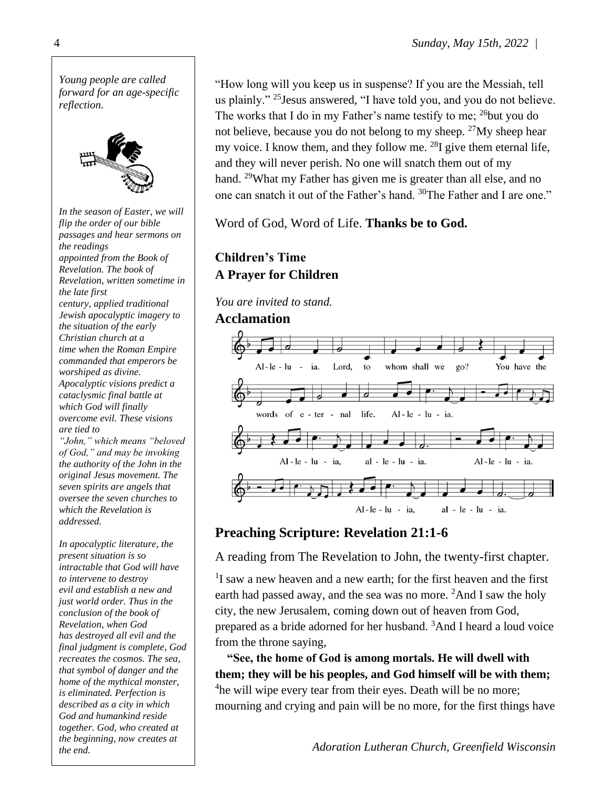

"How long will you keep us in suspense? If you are the Messiah, tell us plainly." <sup>25</sup>Jesus answered, "I have told you, and you do not believe. The works that I do in my Father's name testify to me;  $^{26}$  but you do not believe, because you do not belong to my sheep.  $27$  My sheep hear my voice. I know them, and they follow me.  $^{28}I$  give them eternal life, and they will never perish. No one will snatch them out of my hand. <sup>29</sup>What my Father has given me is greater than all else, and no one can snatch it out of the Father's hand. <sup>30</sup>The Father and I are one."

Word of God, Word of Life. **Thanks be to God.**

## **Children's Time A Prayer for Children**

*You are invited to stand.*

### **Acclamation**



### **Preaching Scripture: Revelation 21:1-6**

A reading from The Revelation to John, the twenty-first chapter.

<sup>1</sup>I saw a new heaven and a new earth; for the first heaven and the first earth had passed away, and the sea was no more. <sup>2</sup>And I saw the holy city, the new Jerusalem, coming down out of heaven from God, prepared as a bride adorned for her husband. <sup>3</sup>And I heard a loud voice from the throne saying,

**"See, the home of God is among mortals. He will dwell with them; they will be his peoples, and God himself will be with them;** <sup>4</sup>he will wipe every tear from their eyes. Death will be no more; mourning and crying and pain will be no more, for the first things have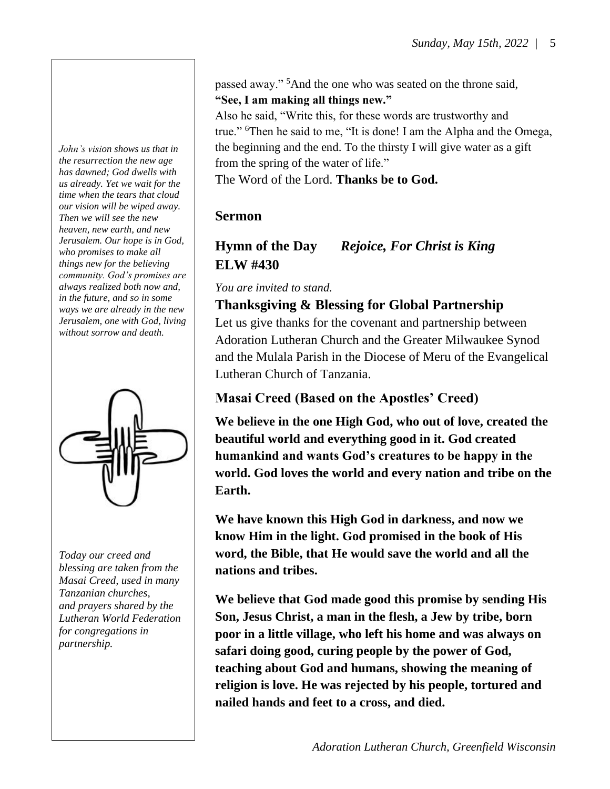*John's vision shows us that in the resurrection the new age has dawned; God dwells with us already. Yet we wait for the time when the tears that cloud our vision will be wiped away. Then we will see the new heaven, new earth, and new Jerusalem. Our hope is in God, who promises to make all things new for the believing community. God's promises are always realized both now and, in the future, and so in some ways we are already in the new Jerusalem, one with God, living without sorrow and death.*



*Today our creed and blessing are taken from the Masai Creed, used in many Tanzanian churches, and prayers shared by the Lutheran World Federation for congregations in partnership.*

passed away." <sup>5</sup>And the one who was seated on the throne said, **"See, I am making all things new."**

Also he said, "Write this, for these words are trustworthy and true." <sup>6</sup>Then he said to me, "It is done! I am the Alpha and the Omega, the beginning and the end. To the thirsty I will give water as a gift from the spring of the water of life."

The Word of the Lord. **Thanks be to God.**

### **Sermon**

# **Hymn of the Day** *Rejoice, For Christ is King* **ELW #430**

*You are invited to stand.*

## **Thanksgiving & Blessing for Global Partnership**

Let us give thanks for the covenant and partnership between Adoration Lutheran Church and the Greater Milwaukee Synod and the Mulala Parish in the Diocese of Meru of the Evangelical Lutheran Church of Tanzania.

### **Masai Creed (Based on the Apostles' Creed)**

**We believe in the one High God, who out of love, created the beautiful world and everything good in it. God created humankind and wants God's creatures to be happy in the world. God loves the world and every nation and tribe on the Earth.** 

**We have known this High God in darkness, and now we know Him in the light. God promised in the book of His word, the Bible, that He would save the world and all the nations and tribes.**

**We believe that God made good this promise by sending His Son, Jesus Christ, a man in the flesh, a Jew by tribe, born poor in a little village, who left his home and was always on safari doing good, curing people by the power of God, teaching about God and humans, showing the meaning of religion is love. He was rejected by his people, tortured and nailed hands and feet to a cross, and died.**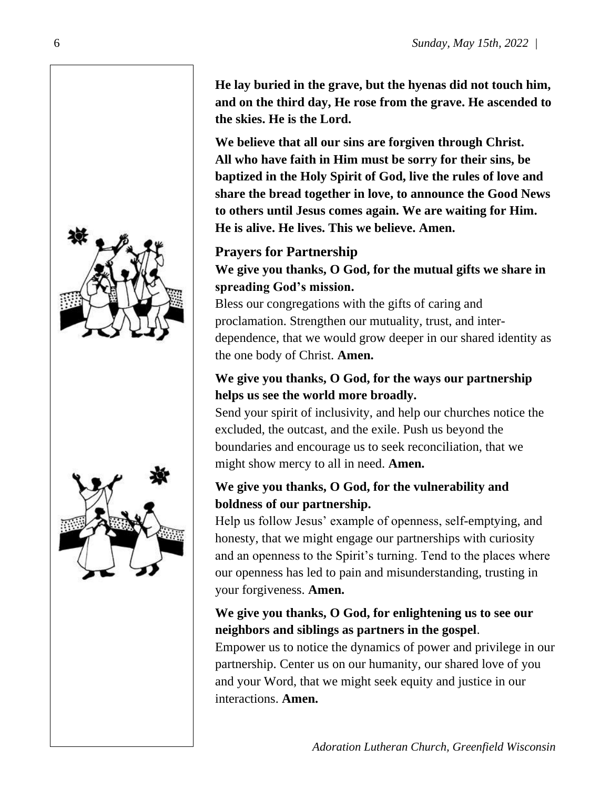



**He lay buried in the grave, but the hyenas did not touch him, and on the third day, He rose from the grave. He ascended to the skies. He is the Lord.** 

**We believe that all our sins are forgiven through Christ. All who have faith in Him must be sorry for their sins, be baptized in the Holy Spirit of God, live the rules of love and share the bread together in love, to announce the Good News to others until Jesus comes again. We are waiting for Him. He is alive. He lives. This we believe. Amen.**

## **Prayers for Partnership**

### **We give you thanks, O God, for the mutual gifts we share in spreading God's mission.**

Bless our congregations with the gifts of caring and proclamation. Strengthen our mutuality, trust, and interdependence, that we would grow deeper in our shared identity as the one body of Christ. **Amen.**

### **We give you thanks, O God, for the ways our partnership helps us see the world more broadly.**

Send your spirit of inclusivity, and help our churches notice the excluded, the outcast, and the exile. Push us beyond the boundaries and encourage us to seek reconciliation, that we might show mercy to all in need. **Amen.**

### **We give you thanks, O God, for the vulnerability and boldness of our partnership.**

Help us follow Jesus' example of openness, self-emptying, and honesty, that we might engage our partnerships with curiosity and an openness to the Spirit's turning. Tend to the places where our openness has led to pain and misunderstanding, trusting in your forgiveness. **Amen.** 

### **We give you thanks, O God, for enlightening us to see our neighbors and siblings as partners in the gospel**.

Empower us to notice the dynamics of power and privilege in our partnership. Center us on our humanity, our shared love of you and your Word, that we might seek equity and justice in our interactions. **Amen.**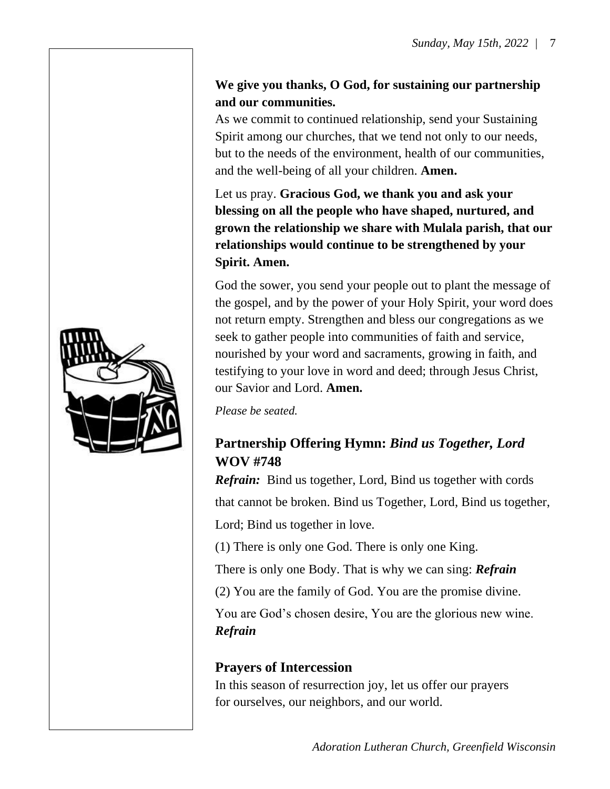### **We give you thanks, O God, for sustaining our partnership and our communities.**

As we commit to continued relationship, send your Sustaining Spirit among our churches, that we tend not only to our needs, but to the needs of the environment, health of our communities, and the well-being of all your children. **Amen.**

Let us pray. **Gracious God, we thank you and ask your blessing on all the people who have shaped, nurtured, and grown the relationship we share with Mulala parish, that our relationships would continue to be strengthened by your Spirit. Amen.** 

God the sower, you send your people out to plant the message of the gospel, and by the power of your Holy Spirit, your word does not return empty. Strengthen and bless our congregations as we seek to gather people into communities of faith and service, nourished by your word and sacraments, growing in faith, and testifying to your love in word and deed; through Jesus Christ, our Savior and Lord. **Amen.**

*Please be seated.*

## **Partnership Offering Hymn:** *Bind us Together, Lord* **WOV #748**

*Refrain:* Bind us together, Lord, Bind us together with cords that cannot be broken. Bind us Together, Lord, Bind us together, Lord; Bind us together in love.

(1) There is only one God. There is only one King.

There is only one Body. That is why we can sing: *Refrain*

(2) You are the family of God. You are the promise divine.

You are God's chosen desire, You are the glorious new wine. *Refrain*

### **Prayers of Intercession**

In this season of resurrection joy, let us offer our prayers for ourselves, our neighbors, and our world.

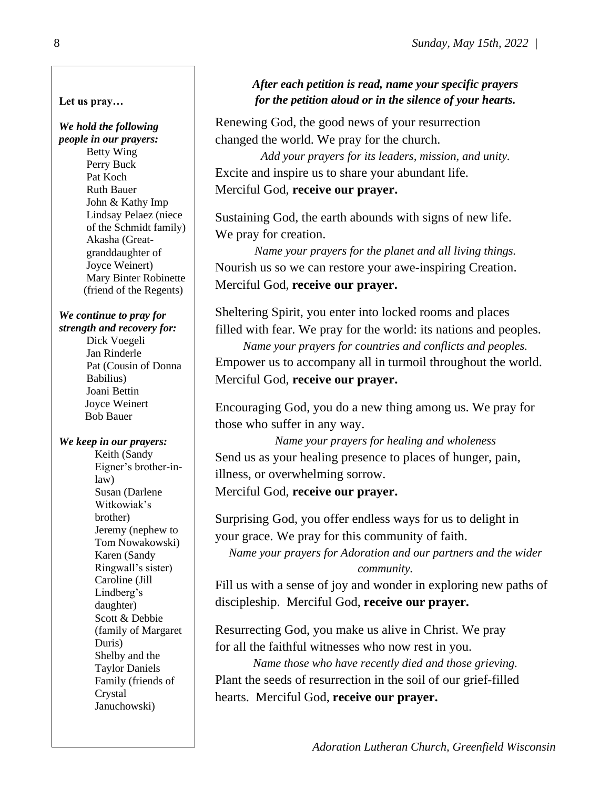#### **Let us pray…**

## *We hold the following*

*people in our prayers:* Betty Wing Perry Buck Pat Koch Ruth Bauer John & Kathy Imp Lindsay Pelaez (niece of the Schmidt family) Akasha (Great granddaughter of Joyce Weinert) Mary Binter Robinette (friend of the Regents)

#### *We continue to pray for strength and recovery for:*

 Dick Voegeli Jan Rinderle Pat (Cousin of Donna Babilius) Joani Bettin Joyce Weinert Bob Bauer

### *We keep in our prayers:*

Keith (Sandy Eigner's brother-inlaw) Susan (Darlene Witkowiak's brother) Jeremy (nephew to Tom Nowakowski) Karen (Sandy Ringwall's sister) Caroline (Jill Lindberg's daughter) Scott & Debbie (family of Margaret Duris) Shelby and the Taylor Daniels Family (friends of Crystal Januchowski)

### *After each petition is read, name your specific prayers for the petition aloud or in the silence of your hearts.*

Renewing God, the good news of your resurrection changed the world. We pray for the church.

*Add your prayers for its leaders, mission, and unity.* Excite and inspire us to share your abundant life. Merciful God, **receive our prayer.**

Sustaining God, the earth abounds with signs of new life. We pray for creation.

*Name your prayers for the planet and all living things.* Nourish us so we can restore your awe-inspiring Creation. Merciful God, **receive our prayer.**

Sheltering Spirit, you enter into locked rooms and places filled with fear. We pray for the world: its nations and peoples. *Name your prayers for countries and conflicts and peoples.* Empower us to accompany all in turmoil throughout the world. Merciful God, **receive our prayer.**

Encouraging God, you do a new thing among us. We pray for those who suffer in any way.

*Name your prayers for healing and wholeness* Send us as your healing presence to places of hunger, pain, illness, or overwhelming sorrow.

Merciful God, **receive our prayer.**

Surprising God, you offer endless ways for us to delight in your grace. We pray for this community of faith.

*Name your prayers for Adoration and our partners and the wider community.*

Fill us with a sense of joy and wonder in exploring new paths of discipleship. Merciful God, **receive our prayer.**

Resurrecting God, you make us alive in Christ. We pray for all the faithful witnesses who now rest in you.

*Name those who have recently died and those grieving.* Plant the seeds of resurrection in the soil of our grief-filled hearts. Merciful God, **receive our prayer.**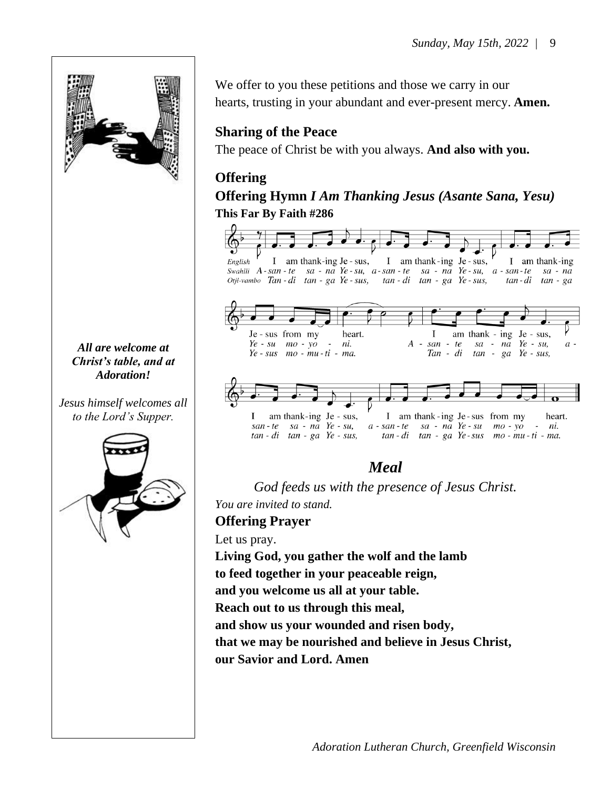

*All are welcome at Christ's table, and at Adoration!*

*Jesus himself welcomes all to the Lord's Supper.*



We offer to you these petitions and those we carry in our hearts, trusting in your abundant and ever-present mercy. **Amen.**

### **Sharing of the Peace**

The peace of Christ be with you always. **And also with you.**

### **Offering**

### **Offering Hymn** *I Am Thanking Jesus (Asante Sana, Yesu)* **This Far By Faith #286**



### *Meal*

*God feeds us with the presence of Jesus Christ. You are invited to stand.*

### **Offering Prayer**

Let us pray.

**Living God, you gather the wolf and the lamb** 

**to feed together in your peaceable reign,** 

**and you welcome us all at your table.** 

**Reach out to us through this meal,** 

**and show us your wounded and risen body,** 

**that we may be nourished and believe in Jesus Christ,** 

**our Savior and Lord. Amen**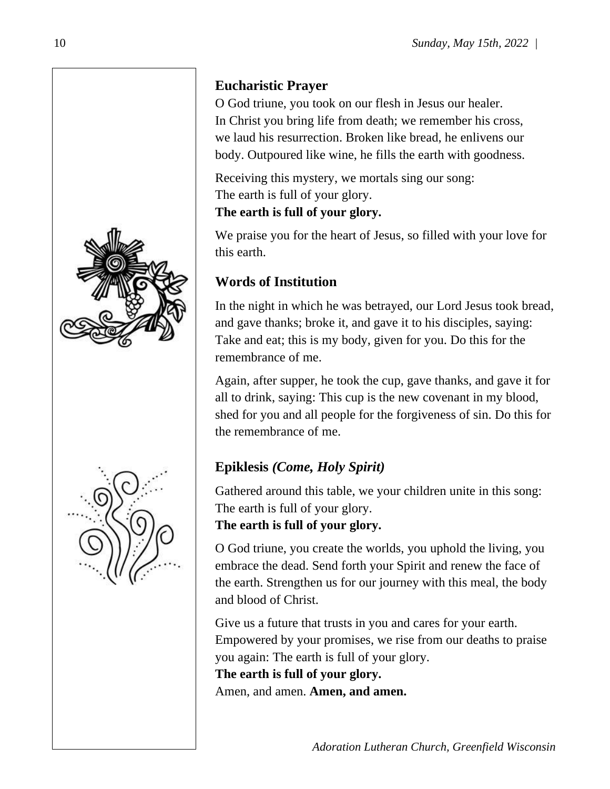

# **Eucharistic Prayer**

O God triune, you took on our flesh in Jesus our healer. In Christ you bring life from death; we remember his cross, we laud his resurrection. Broken like bread, he enlivens our body. Outpoured like wine, he fills the earth with goodness.

Receiving this mystery, we mortals sing our song: The earth is full of your glory.

**The earth is full of your glory.**

We praise you for the heart of Jesus, so filled with your love for this earth.

# **Words of Institution**

In the night in which he was betrayed, our Lord Jesus took bread, and gave thanks; broke it, and gave it to his disciples, saying: Take and eat; this is my body, given for you. Do this for the remembrance of me.

Again, after supper, he took the cup, gave thanks, and gave it for all to drink, saying: This cup is the new covenant in my blood, shed for you and all people for the forgiveness of sin. Do this for the remembrance of me.

# **Epiklesis** *(Come, Holy Spirit)*

Gathered around this table, we your children unite in this song: The earth is full of your glory.

### **The earth is full of your glory.**

O God triune, you create the worlds, you uphold the living, you embrace the dead. Send forth your Spirit and renew the face of the earth. Strengthen us for our journey with this meal, the body and blood of Christ.

Give us a future that trusts in you and cares for your earth. Empowered by your promises, we rise from our deaths to praise you again: The earth is full of your glory.

**The earth is full of your glory.** Amen, and amen. **Amen, and amen.**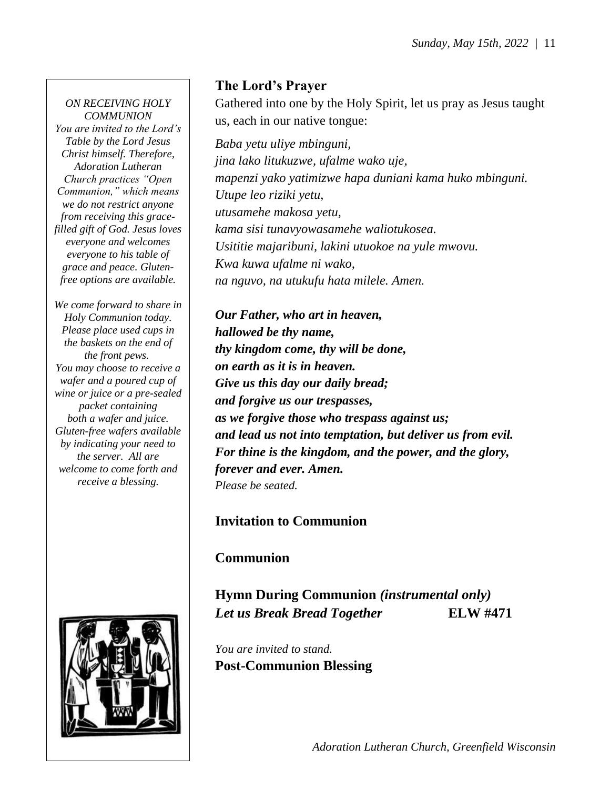#### *ON RECEIVING HOLY COMMUNION You are invited to the Lord's Table by the Lord Jesus Christ himself. Therefore, Adoration Lutheran Church practices "Open Communion," which means we do not restrict anyone from receiving this gracefilled gift of God. Jesus loves everyone and welcomes everyone to his table of grace and peace. Glutenfree options are available.*

*We come forward to share in Holy Communion today. Please place used cups in the baskets on the end of the front pews. You may choose to receive a wafer and a poured cup of wine or juice or a pre-sealed packet containing both a wafer and juice. Gluten-free wafers available by indicating your need to the server. All are welcome to come forth and receive a blessing.*



### **The Lord's Prayer**

Gathered into one by the Holy Spirit, let us pray as Jesus taught us, each in our native tongue:

*Baba yetu uliye mbinguni, jina lako litukuzwe, ufalme wako uje, mapenzi yako yatimizwe hapa duniani kama huko mbinguni. Utupe leo riziki yetu, utusamehe makosa yetu, kama sisi tunavyowasamehe waliotukosea. Usititie majaribuni, lakini utuokoe na yule mwovu. Kwa kuwa ufalme ni wako, na nguvo, na utukufu hata milele. Amen.*

*Our Father, who art in heaven, hallowed be thy name, thy kingdom come, thy will be done, on earth as it is in heaven. Give us this day our daily bread; and forgive us our trespasses, as we forgive those who trespass against us; and lead us not into temptation, but deliver us from evil. For thine is the kingdom, and the power, and the glory, forever and ever. Amen. Please be seated.*

### **Invitation to Communion**

**Communion**

**Hymn During Communion** *(instrumental only) Let us Break Bread Together* **ELW #471**

*You are invited to stand.* **Post-Communion Blessing**